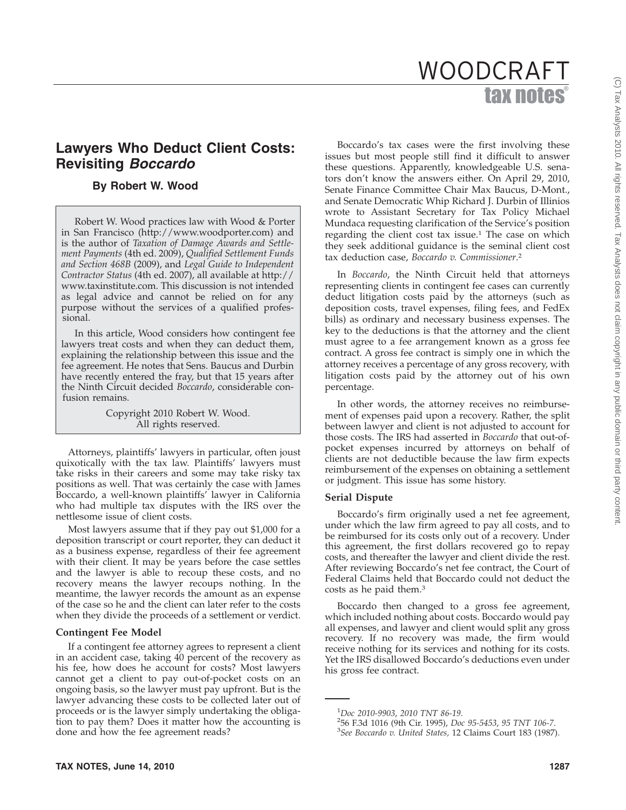# tax notes WOODCRAFT

# **Lawyers Who Deduct Client Costs: Revisiting** *Boccardo*

# **By Robert W. Wood**

Robert W. Wood practices law with Wood & Porter in San Francisco (http://www.woodporter.com) and is the author of *Taxation of Damage Awards and Settlement Payments* (4th ed. 2009), *Qualified Settlement Funds and Section 468B* (2009), and *Legal Guide to Independent Contractor Status* (4th ed. 2007), all available at http:// www.taxinstitute.com. This discussion is not intended as legal advice and cannot be relied on for any purpose without the services of a qualified professional.

In this article, Wood considers how contingent fee lawyers treat costs and when they can deduct them, explaining the relationship between this issue and the fee agreement. He notes that Sens. Baucus and Durbin have recently entered the fray, but that 15 years after the Ninth Circuit decided *Boccardo*, considerable confusion remains.

> Copyright 2010 Robert W. Wood. All rights reserved.

Attorneys, plaintiffs' lawyers in particular, often joust quixotically with the tax law. Plaintiffs' lawyers must take risks in their careers and some may take risky tax positions as well. That was certainly the case with James Boccardo, a well-known plaintiffs' lawyer in California who had multiple tax disputes with the IRS over the nettlesome issue of client costs.

Most lawyers assume that if they pay out \$1,000 for a deposition transcript or court reporter, they can deduct it as a business expense, regardless of their fee agreement with their client. It may be years before the case settles and the lawyer is able to recoup these costs, and no recovery means the lawyer recoups nothing. In the meantime, the lawyer records the amount as an expense of the case so he and the client can later refer to the costs when they divide the proceeds of a settlement or verdict.

#### **Contingent Fee Model**

If a contingent fee attorney agrees to represent a client in an accident case, taking 40 percent of the recovery as his fee, how does he account for costs? Most lawyers cannot get a client to pay out-of-pocket costs on an ongoing basis, so the lawyer must pay upfront. But is the lawyer advancing these costs to be collected later out of proceeds or is the lawyer simply undertaking the obligation to pay them? Does it matter how the accounting is done and how the fee agreement reads?

Boccardo's tax cases were the first involving these issues but most people still find it difficult to answer these questions. Apparently, knowledgeable U.S. senators don't know the answers either. On April 29, 2010, Senate Finance Committee Chair Max Baucus, D-Mont., and Senate Democratic Whip Richard J. Durbin of Illinios wrote to Assistant Secretary for Tax Policy Michael Mundaca requesting clarification of the Service's position regarding the client cost tax issue.<sup>1</sup> The case on which they seek additional guidance is the seminal client cost tax deduction case, *Boccardo v. Commissioner*. 2

In *Boccardo*, the Ninth Circuit held that attorneys representing clients in contingent fee cases can currently deduct litigation costs paid by the attorneys (such as deposition costs, travel expenses, filing fees, and FedEx bills) as ordinary and necessary business expenses. The key to the deductions is that the attorney and the client must agree to a fee arrangement known as a gross fee contract. A gross fee contract is simply one in which the attorney receives a percentage of any gross recovery, with litigation costs paid by the attorney out of his own percentage.

In other words, the attorney receives no reimbursement of expenses paid upon a recovery. Rather, the split between lawyer and client is not adjusted to account for those costs. The IRS had asserted in *Boccardo* that out-ofpocket expenses incurred by attorneys on behalf of clients are not deductible because the law firm expects reimbursement of the expenses on obtaining a settlement or judgment. This issue has some history.

#### **Serial Dispute**

Boccardo's firm originally used a net fee agreement, under which the law firm agreed to pay all costs, and to be reimbursed for its costs only out of a recovery. Under this agreement, the first dollars recovered go to repay costs, and thereafter the lawyer and client divide the rest. After reviewing Boccardo's net fee contract, the Court of Federal Claims held that Boccardo could not deduct the costs as he paid them.3

Boccardo then changed to a gross fee agreement, which included nothing about costs. Boccardo would pay all expenses, and lawyer and client would split any gross recovery. If no recovery was made, the firm would receive nothing for its services and nothing for its costs. Yet the IRS disallowed Boccardo's deductions even under his gross fee contract.

<sup>&</sup>lt;sup>1</sup>Doc 2010-9903, 2010 TNT 86-19. *Doc 2010-9903*, *2010 TNT 86-19*. <sup>2</sup>

<sup>56</sup> F.3d 1016 (9th Cir. 1995), *Doc 95-5453*, *95 TNT 106-7*. <sup>3</sup>

*See Boccardo v. United States,* 12 Claims Court 183 (1987).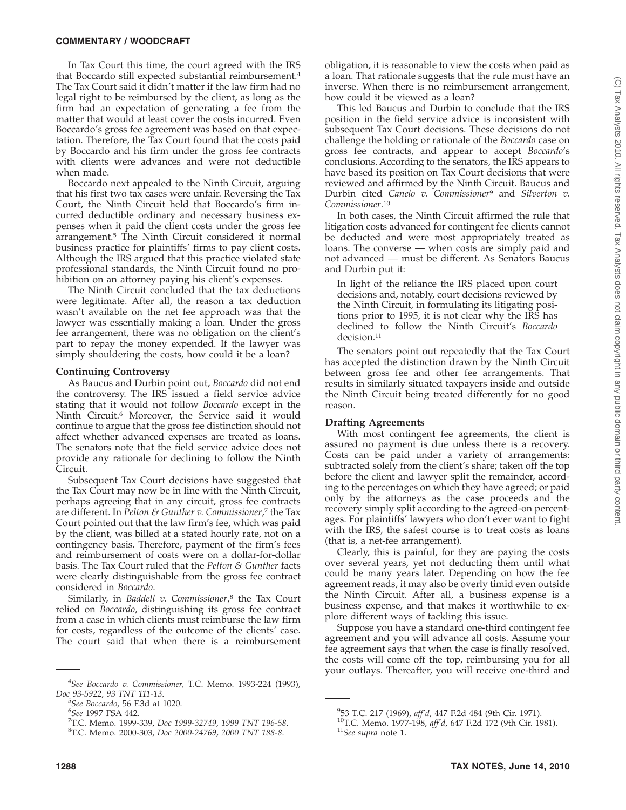In Tax Court this time, the court agreed with the IRS that Boccardo still expected substantial reimbursement.4 The Tax Court said it didn't matter if the law firm had no legal right to be reimbursed by the client, as long as the firm had an expectation of generating a fee from the matter that would at least cover the costs incurred. Even Boccardo's gross fee agreement was based on that expectation. Therefore, the Tax Court found that the costs paid by Boccardo and his firm under the gross fee contracts with clients were advances and were not deductible when made.

Boccardo next appealed to the Ninth Circuit, arguing that his first two tax cases were unfair. Reversing the Tax Court, the Ninth Circuit held that Boccardo's firm incurred deductible ordinary and necessary business expenses when it paid the client costs under the gross fee arrangement.<sup>5</sup> The Ninth Circuit considered it normal business practice for plaintiffs' firms to pay client costs. Although the IRS argued that this practice violated state professional standards, the Ninth Circuit found no prohibition on an attorney paying his client's expenses.

The Ninth Circuit concluded that the tax deductions were legitimate. After all, the reason a tax deduction wasn't available on the net fee approach was that the lawyer was essentially making a loan. Under the gross fee arrangement, there was no obligation on the client's part to repay the money expended. If the lawyer was simply shouldering the costs, how could it be a loan?

#### **Continuing Controversy**

As Baucus and Durbin point out, *Boccardo* did not end the controversy. The IRS issued a field service advice stating that it would not follow *Boccardo* except in the Ninth Circuit.6 Moreover, the Service said it would continue to argue that the gross fee distinction should not affect whether advanced expenses are treated as loans. The senators note that the field service advice does not provide any rationale for declining to follow the Ninth Circuit.

Subsequent Tax Court decisions have suggested that the Tax Court may now be in line with the Ninth Circuit, perhaps agreeing that in any circuit, gross fee contracts are different. In *Pelton & Gunther v. Commissioner*, <sup>7</sup> the Tax Court pointed out that the law firm's fee, which was paid by the client, was billed at a stated hourly rate, not on a contingency basis. Therefore, payment of the firm's fees and reimbursement of costs were on a dollar-for-dollar basis. The Tax Court ruled that the *Pelton & Gunther* facts were clearly distinguishable from the gross fee contract considered in *Boccardo*.

Similarly, in *Baddell v. Commissioner*, <sup>8</sup> the Tax Court relied on *Boccardo*, distinguishing its gross fee contract from a case in which clients must reimburse the law firm for costs, regardless of the outcome of the clients' case. The court said that when there is a reimbursement

obligation, it is reasonable to view the costs when paid as a loan. That rationale suggests that the rule must have an inverse. When there is no reimbursement arrangement, how could it be viewed as a loan?

This led Baucus and Durbin to conclude that the IRS position in the field service advice is inconsistent with subsequent Tax Court decisions. These decisions do not challenge the holding or rationale of the *Boccardo* case on gross fee contracts, and appear to accept *Boccardo*'s conclusions. According to the senators, the IRS appears to have based its position on Tax Court decisions that were reviewed and affirmed by the Ninth Circuit. Baucus and Durbin cited *Canelo v. Commissioner*<sup>9</sup> and *Silverton v. Commissioner*. 10

In both cases, the Ninth Circuit affirmed the rule that litigation costs advanced for contingent fee clients cannot be deducted and were most appropriately treated as loans. The converse — when costs are simply paid and not advanced — must be different. As Senators Baucus and Durbin put it:

In light of the reliance the IRS placed upon court decisions and, notably, court decisions reviewed by the Ninth Circuit, in formulating its litigating positions prior to 1995, it is not clear why the IRS has declined to follow the Ninth Circuit's *Boccardo* decision.<sup>11</sup>

The senators point out repeatedly that the Tax Court has accepted the distinction drawn by the Ninth Circuit between gross fee and other fee arrangements. That results in similarly situated taxpayers inside and outside the Ninth Circuit being treated differently for no good reason.

#### **Drafting Agreements**

With most contingent fee agreements, the client is assured no payment is due unless there is a recovery. Costs can be paid under a variety of arrangements: subtracted solely from the client's share; taken off the top before the client and lawyer split the remainder, according to the percentages on which they have agreed; or paid only by the attorneys as the case proceeds and the recovery simply split according to the agreed-on percentages. For plaintiffs' lawyers who don't ever want to fight with the IRS, the safest course is to treat costs as loans (that is, a net-fee arrangement).

Clearly, this is painful, for they are paying the costs over several years, yet not deducting them until what could be many years later. Depending on how the fee agreement reads, it may also be overly timid even outside the Ninth Circuit. After all, a business expense is a business expense, and that makes it worthwhile to explore different ways of tackling this issue.

Suppose you have a standard one-third contingent fee agreement and you will advance all costs. Assume your fee agreement says that when the case is finally resolved, the costs will come off the top, reimbursing you for all your outlays. Thereafter, you will receive one-third and

<sup>4</sup> *See Boccardo v. Commissioner,* T.C. Memo. 1993-224 (1993), *Doc 93-5922*, *93 TNT 111-13*. <sup>5</sup>

*See Boccardo*, 56 F.3d at 1020. <sup>6</sup>

*See* 1997 FSA 442. <sup>7</sup>

<sup>&</sup>lt;sup>7</sup>T.C. Memo. 1999-339, *Doc 1999-32749*, 1999 TNT 196-58.

T.C. Memo. 2000-303, *Doc 2000-24769*, *2000 TNT 188-8*.

<sup>&</sup>lt;sup>9</sup>53 T.C. 217 (1969), aff'd, 447 F.2d 484 (9th Cir. 1971).

<sup>&</sup>lt;sup>10</sup>T.C. Memo. 1977-198, *aff'd*, 647 F.2d 172 (9th Cir. 1981). <sup>11</sup>See supra note 1.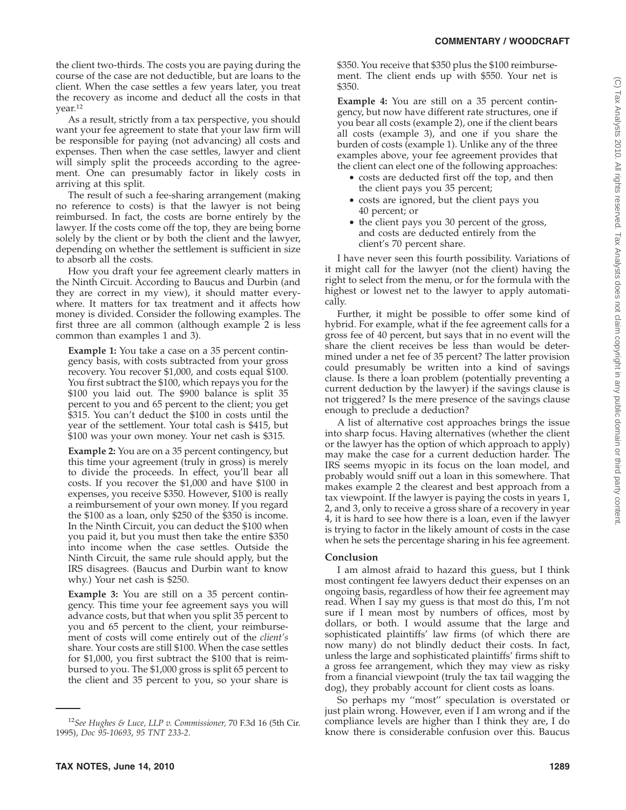the client two-thirds. The costs you are paying during the course of the case are not deductible, but are loans to the client. When the case settles a few years later, you treat the recovery as income and deduct all the costs in that year.12

As a result, strictly from a tax perspective, you should want your fee agreement to state that your law firm will be responsible for paying (not advancing) all costs and expenses. Then when the case settles, lawyer and client will simply split the proceeds according to the agreement. One can presumably factor in likely costs in arriving at this split.

The result of such a fee-sharing arrangement (making no reference to costs) is that the lawyer is not being reimbursed. In fact, the costs are borne entirely by the lawyer. If the costs come off the top, they are being borne solely by the client or by both the client and the lawyer, depending on whether the settlement is sufficient in size to absorb all the costs.

How you draft your fee agreement clearly matters in the Ninth Circuit. According to Baucus and Durbin (and they are correct in my view), it should matter everywhere. It matters for tax treatment and it affects how money is divided. Consider the following examples. The first three are all common (although example 2 is less common than examples 1 and 3).

**Example 1:** You take a case on a 35 percent contingency basis, with costs subtracted from your gross recovery. You recover \$1,000, and costs equal \$100. You first subtract the \$100, which repays you for the \$100 you laid out. The \$900 balance is split 35 percent to you and 65 percent to the client; you get \$315. You can't deduct the \$100 in costs until the year of the settlement. Your total cash is \$415, but \$100 was your own money. Your net cash is \$315.

**Example 2:** You are on a 35 percent contingency, but this time your agreement (truly in gross) is merely to divide the proceeds. In effect, you'll bear all costs. If you recover the \$1,000 and have \$100 in expenses, you receive \$350. However, \$100 is really a reimbursement of your own money. If you regard the \$100 as a loan, only \$250 of the \$350 is income. In the Ninth Circuit, you can deduct the \$100 when you paid it, but you must then take the entire \$350 into income when the case settles. Outside the Ninth Circuit, the same rule should apply, but the IRS disagrees. (Baucus and Durbin want to know why.) Your net cash is \$250.

**Example 3:** You are still on a 35 percent contingency. This time your fee agreement says you will advance costs, but that when you split 35 percent to you and 65 percent to the client, your reimbursement of costs will come entirely out of the *client's* share. Your costs are still \$100. When the case settles for \$1,000, you first subtract the \$100 that is reimbursed to you. The \$1,000 gross is split 65 percent to the client and 35 percent to you, so your share is \$350. You receive that \$350 plus the \$100 reimbursement. The client ends up with \$550. Your net is \$350.

**Example 4:** You are still on a 35 percent contingency, but now have different rate structures, one if you bear all costs (example 2), one if the client bears all costs (example 3), and one if you share the burden of costs (example 1). Unlike any of the three examples above, your fee agreement provides that the client can elect one of the following approaches:

- costs are deducted first off the top, and then the client pays you 35 percent;
- costs are ignored, but the client pays you 40 percent; or
- the client pays you 30 percent of the gross, and costs are deducted entirely from the client's 70 percent share.

I have never seen this fourth possibility. Variations of it might call for the lawyer (not the client) having the right to select from the menu, or for the formula with the highest or lowest net to the lawyer to apply automatically.

Further, it might be possible to offer some kind of hybrid. For example, what if the fee agreement calls for a gross fee of 40 percent, but says that in no event will the share the client receives be less than would be determined under a net fee of 35 percent? The latter provision could presumably be written into a kind of savings clause. Is there a loan problem (potentially preventing a current deduction by the lawyer) if the savings clause is not triggered? Is the mere presence of the savings clause enough to preclude a deduction?

A list of alternative cost approaches brings the issue into sharp focus. Having alternatives (whether the client or the lawyer has the option of which approach to apply) may make the case for a current deduction harder. The IRS seems myopic in its focus on the loan model, and probably would sniff out a loan in this somewhere. That makes example 2 the clearest and best approach from a tax viewpoint. If the lawyer is paying the costs in years 1, 2, and 3, only to receive a gross share of a recovery in year 4, it is hard to see how there is a loan, even if the lawyer is trying to factor in the likely amount of costs in the case when he sets the percentage sharing in his fee agreement.

### **Conclusion**

I am almost afraid to hazard this guess, but I think most contingent fee lawyers deduct their expenses on an ongoing basis, regardless of how their fee agreement may read. When I say my guess is that most do this, I'm not sure if I mean most by numbers of offices, most by dollars, or both. I would assume that the large and sophisticated plaintiffs' law firms (of which there are now many) do not blindly deduct their costs. In fact, unless the large and sophisticated plaintiffs' firms shift to a gross fee arrangement, which they may view as risky from a financial viewpoint (truly the tax tail wagging the dog), they probably account for client costs as loans.

So perhaps my ''most'' speculation is overstated or just plain wrong. However, even if I am wrong and if the compliance levels are higher than I think they are, I do know there is considerable confusion over this. Baucus

<sup>12</sup>*See Hughes & Luce, LLP v. Commissioner,* 70 F.3d 16 (5th Cir. 1995), *Doc 95-10693*, *95 TNT 233-2*.